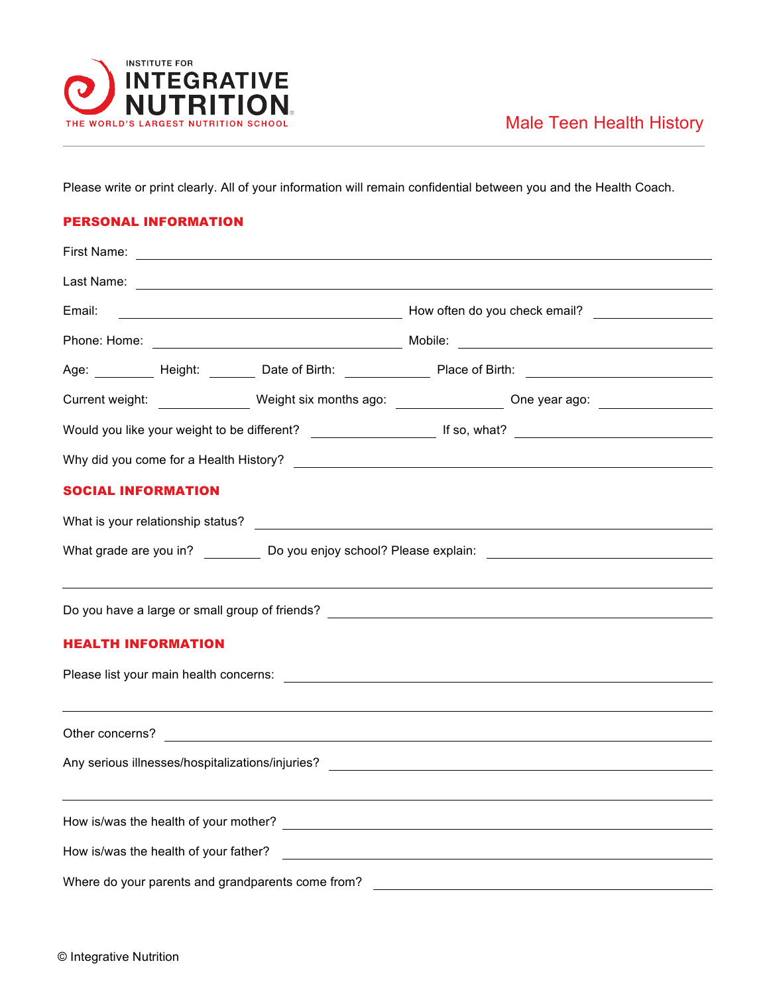

Please write or print clearly. All of your information will remain confidential between you and the Health Coach.

## PERSONAL INFORMATION

| First Name:                                                                                                                                                               |  |  |                                                                                                      |  |  |  |  |
|---------------------------------------------------------------------------------------------------------------------------------------------------------------------------|--|--|------------------------------------------------------------------------------------------------------|--|--|--|--|
|                                                                                                                                                                           |  |  |                                                                                                      |  |  |  |  |
| Email:                                                                                                                                                                    |  |  | Mow often do you check email?                                                                        |  |  |  |  |
|                                                                                                                                                                           |  |  |                                                                                                      |  |  |  |  |
|                                                                                                                                                                           |  |  | Age: _________ Height: _______ Date of Birth: ______________ Place of Birth: _______________________ |  |  |  |  |
|                                                                                                                                                                           |  |  | Current weight: Weight six months ago: Current weight: Current weight: Weight six months ago:        |  |  |  |  |
|                                                                                                                                                                           |  |  |                                                                                                      |  |  |  |  |
|                                                                                                                                                                           |  |  |                                                                                                      |  |  |  |  |
| <b>SOCIAL INFORMATION</b>                                                                                                                                                 |  |  |                                                                                                      |  |  |  |  |
|                                                                                                                                                                           |  |  |                                                                                                      |  |  |  |  |
|                                                                                                                                                                           |  |  |                                                                                                      |  |  |  |  |
|                                                                                                                                                                           |  |  |                                                                                                      |  |  |  |  |
| <b>HEALTH INFORMATION</b>                                                                                                                                                 |  |  |                                                                                                      |  |  |  |  |
|                                                                                                                                                                           |  |  |                                                                                                      |  |  |  |  |
|                                                                                                                                                                           |  |  |                                                                                                      |  |  |  |  |
|                                                                                                                                                                           |  |  |                                                                                                      |  |  |  |  |
| Any serious illnesses/hospitalizations/injuries?<br><u> any serious illnesses/hospitalizations/injuries?</u>                                                              |  |  |                                                                                                      |  |  |  |  |
|                                                                                                                                                                           |  |  |                                                                                                      |  |  |  |  |
|                                                                                                                                                                           |  |  |                                                                                                      |  |  |  |  |
| How is/was the health of your father?                                                                                                                                     |  |  |                                                                                                      |  |  |  |  |
| Where do your parents and grandparents come from?<br><u> 1980 - Jan Samuel Barbara, margaret e populazion del control de la provincia del control de la provincia del</u> |  |  |                                                                                                      |  |  |  |  |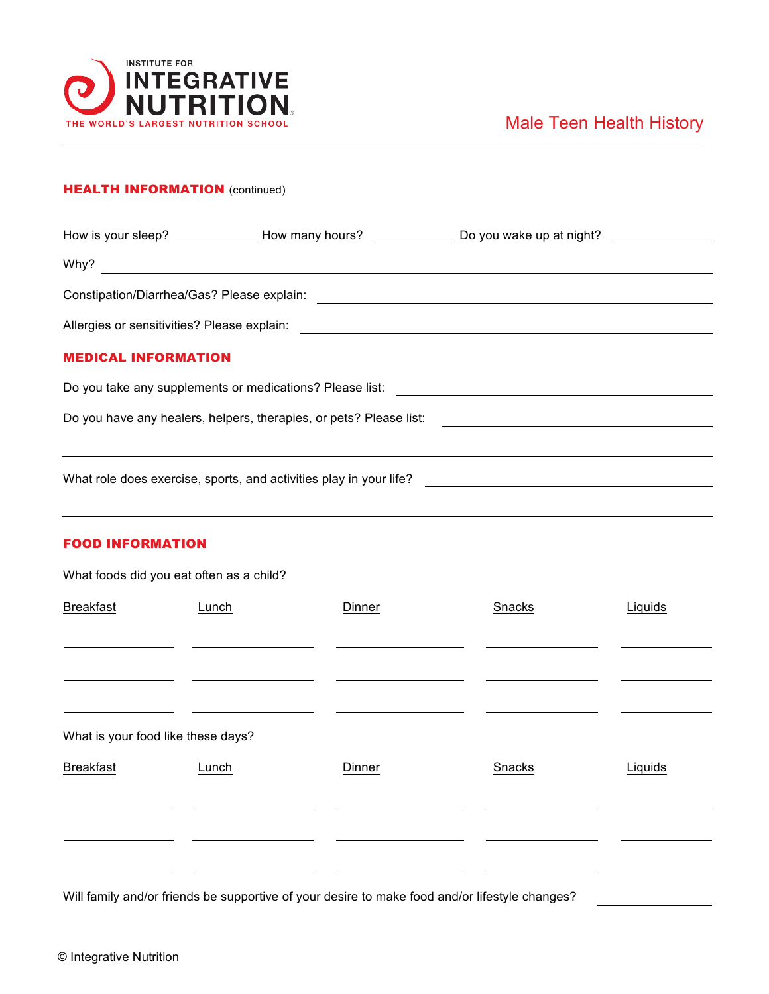

## **HEALTH INFORMATION** (continued)

|                                                                    |  | How is your sleep? How many hours? Do you wake up at night? |  |  |  |  |  |
|--------------------------------------------------------------------|--|-------------------------------------------------------------|--|--|--|--|--|
| Why?                                                               |  |                                                             |  |  |  |  |  |
| Constipation/Diarrhea/Gas? Please explain:                         |  |                                                             |  |  |  |  |  |
|                                                                    |  |                                                             |  |  |  |  |  |
| <b>MEDICAL INFORMATION</b>                                         |  |                                                             |  |  |  |  |  |
| Do you take any supplements or medications? Please list:           |  |                                                             |  |  |  |  |  |
| Do you have any healers, helpers, therapies, or pets? Please list: |  |                                                             |  |  |  |  |  |
|                                                                    |  |                                                             |  |  |  |  |  |
| What role does exercise, sports, and activities play in your life? |  |                                                             |  |  |  |  |  |

## FOOD INFORMATION

What foods did you eat often as a child?

| <b>Breakfast</b>                   | Lunch | Dinner | Snacks | Liquids |
|------------------------------------|-------|--------|--------|---------|
|                                    |       |        |        |         |
|                                    |       |        |        |         |
| What is your food like these days? |       |        |        |         |
| <b>Breakfast</b>                   | Lunch | Dinner | Snacks | Liquids |
|                                    |       |        |        |         |
|                                    |       |        |        |         |

Will family and/or friends be supportive of your desire to make food and/or lifestyle changes?